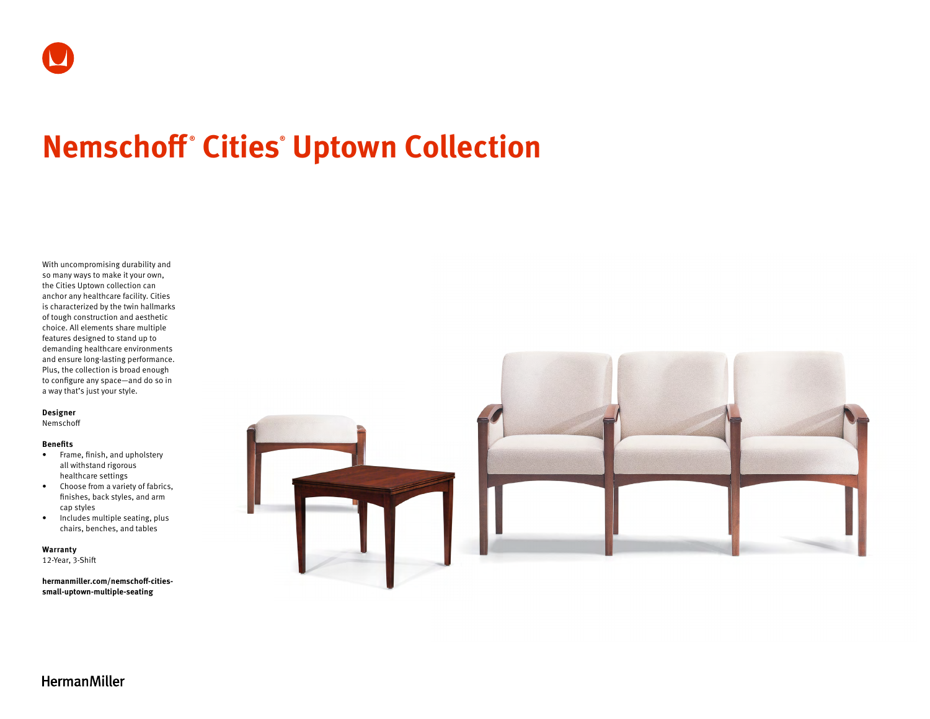# **Nemschoff ® Cities® Uptown Collection**

With uncompromising durability and so many ways to make it your own, the Cities Uptown collection can anchor any healthcare facility. Cities is characterized by the twin hallmarks of tough construction and aesthetic choice. All elements share multiple features designed to stand up to demanding healthcare environments and ensure long-lasting performance. Plus, the collection is broad enough to configure any space—and do so in a way that's just your style.

#### **Designer**

Nemschoff

#### **Benefits**

- Frame, finish, and upholstery all withstand rigorous healthcare settings
- Choose from a variety of fabrics, finishes, back styles, and arm cap styles
- Includes multiple seating, plus chairs, benches, and tables

**Warranty** 

12-Year, 3-Shift

**[hermanmiller.com/nemschoff-cities](http://hermanmiller.com/nemschoff-cities-small-uptown-multiple-seating)[small-uptown-multiple-seating](http://hermanmiller.com/nemschoff-cities-small-uptown-multiple-seating)**